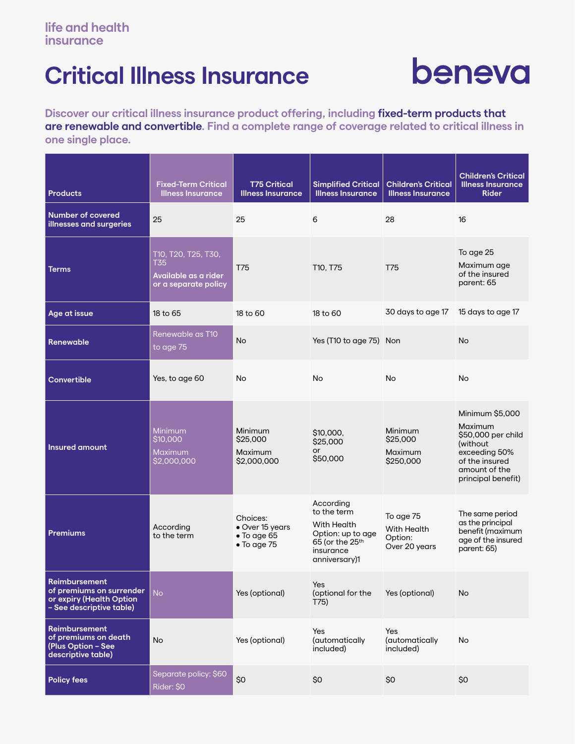## **Critical Illness Insurance**

# beneva

**Discover our critical illness insurance product offering, including fixed-term products that are renewable and convertible. Find a complete range of coverage related to critical illness in one single place.**

| <b>Products</b>                                                                                          | <b>Fixed-Term Critical</b><br><b>Illness Insurance</b>                     | <b>T75 Critical</b><br><b>Illness Insurance</b>                           | <b>Simplified Critical</b><br><b>Illness Insurance</b>                                                                    | <b>Children's Critical</b><br><b>Illness Insurance</b> | <b>Children's Critical</b><br><b>Illness Insurance</b><br><b>Rider</b>                                                                  |
|----------------------------------------------------------------------------------------------------------|----------------------------------------------------------------------------|---------------------------------------------------------------------------|---------------------------------------------------------------------------------------------------------------------------|--------------------------------------------------------|-----------------------------------------------------------------------------------------------------------------------------------------|
| <b>Number of covered</b><br>illnesses and surgeries                                                      | 25                                                                         | 25                                                                        | 6                                                                                                                         | 28                                                     | 16                                                                                                                                      |
| <b>Terms</b>                                                                                             | T10, T20, T25, T30,<br>T35<br>Available as a rider<br>or a separate policy | T75                                                                       | T10, T75                                                                                                                  | <b>T75</b>                                             | To age 25<br>Maximum age<br>of the insured<br>parent: 65                                                                                |
| Age at issue                                                                                             | 18 to 65                                                                   | 18 to 60                                                                  | 18 to 60                                                                                                                  | 30 days to age 17                                      | 15 days to age 17                                                                                                                       |
| <b>Renewable</b>                                                                                         | Renewable as T10<br>to age 75                                              | <b>No</b>                                                                 | Yes (T10 to age 75) Non                                                                                                   |                                                        | <b>No</b>                                                                                                                               |
| <b>Convertible</b>                                                                                       | Yes, to age 60                                                             | No                                                                        | <b>No</b>                                                                                                                 | <b>No</b>                                              | <b>No</b>                                                                                                                               |
| <b>Insured amount</b>                                                                                    | <b>Minimum</b><br>\$10,000<br><b>Maximum</b><br>\$2,000,000                | Minimum<br>\$25,000<br>Maximum<br>\$2,000,000                             | \$10,000.<br>\$25,000<br><b>or</b><br>\$50,000                                                                            | Minimum<br>\$25,000<br>Maximum<br>\$250,000            | Minimum \$5,000<br>Maximum<br>\$50,000 per child<br>(without)<br>exceeding 50%<br>of the insured<br>amount of the<br>principal benefit) |
| <b>Premiums</b>                                                                                          | According<br>to the term                                                   | Choices:<br>• Over 15 years<br>$\bullet$ To age 65<br>$\bullet$ To age 75 | According<br>to the term<br>With Health<br>Option: up to age<br>65 (or the 25 <sup>th</sup><br>insurance<br>anniversary)1 | To age 75<br>With Health<br>Option:<br>Over 20 years   | The same period<br>as the principal<br>benefit (maximum<br>age of the insured<br>parent: 65)                                            |
| <b>Reimbursement</b><br>of premiums on surrender<br>or expiry (Health Option<br>- See descriptive table) | <b>No</b>                                                                  | Yes (optional)                                                            | Yes<br>(optional for the<br>T75)                                                                                          | Yes (optional)                                         | <b>No</b>                                                                                                                               |
| <b>Reimbursement</b><br>of premiums on death<br>(Plus Option - See<br>descriptive table)                 | <b>No</b>                                                                  | Yes (optional)                                                            | Yes<br>(automatically<br>included)                                                                                        | Yes<br>(automatically<br>included)                     | No                                                                                                                                      |
| <b>Policy fees</b>                                                                                       | Separate policy: \$60<br>Rider: \$0                                        | \$0                                                                       | \$0                                                                                                                       | \$0                                                    | \$0                                                                                                                                     |